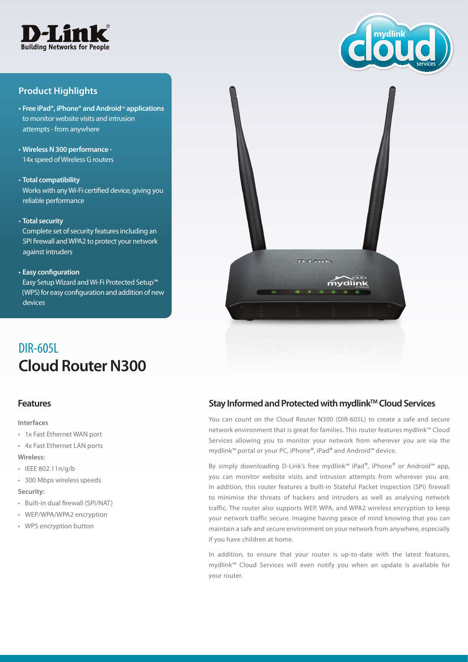

# **Product Highlights**

- **• Free iPad®, iPhone® and Android**™ **applications** to monitor website visits and intrusion attempts - from anywhere
- • **Wireless N 300 performance -** 14x speed of Wireless G routers
- • **Total compatibility** Works with any Wi-Fi certified device, giving you reliable performance
- • **Total security**

Complete set of security features including an SPI firewall and WPA2 to protect your network against intruders

• **Easy configuration**

Easy Setup Wizard and Wi-Fi Protected Setup™ (WPS) for easy configuration and addition of new devices



**Cloud Router N300** DIR-605L

#### **Features**

**Interfaces**

- • 1x Fast Ethernet WAN port
- • 4x Fast Ethernet LAN ports **Wireless:**
- • IEEE 802.11n/g/b
- • 300 Mbps wireless speeds **Security:**
- • Built-in dual firewall (SPI/NAT)
- • WEP/WPA/WPA2 encryption
- • WPS encryption button

## Stay Informed and Protected with mydlink<sup>™</sup> Cloud Services

You can count on the Cloud Router N300 (DIR-605L) to create a safe and secure network environment that is great for families. This router features mydlink™ Cloud Services allowing you to monitor your network from wherever you are via the mydlink™ portal or your PC, iPhone**®**, iPad**®** and Android™ device.

By simply downloading D-Link's free mydlink™ iPad**®**, iPhone**®** or Android™ app, you can monitor website visits and intrusion attempts from wherever you are. In addition, this router features a built-in Stateful Packet Inspection (SPI) firewall to minimise the threats of hackers and intruders as well as analysing network traffic. The router also supports WEP, WPA, and WPA2 wireless encryption to keep your network traffic secure. Imagine having peace of mind knowing that you can maintain a safe and secure environment on your network from anywhere, especially if you have children at home.

In addition, to ensure that your router is up-to-date with the latest features, mydlink™ Cloud Services will even notify you when an update is available for your router.